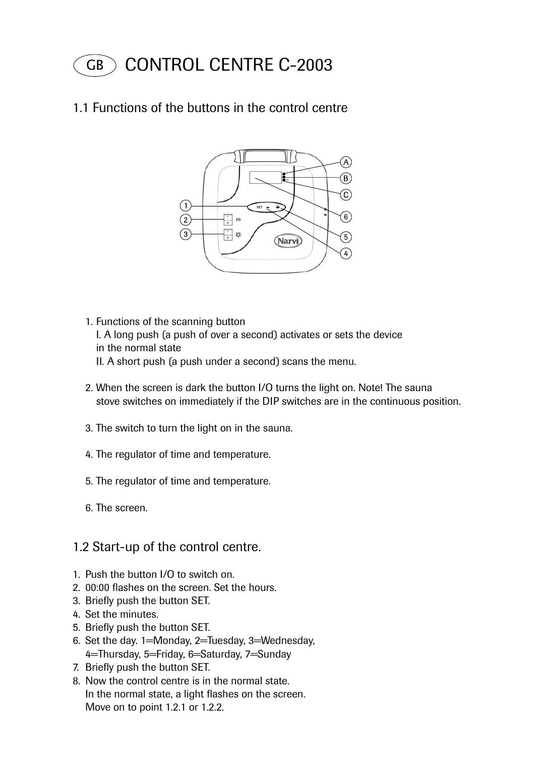GB CONTROL CENTRE C-2003

### 1.1 Functions of the buttons in the control centre



- 1. Functions of the scanning button I. A long push (a push of over a second) activates or sets the device in the normal state II. A short push (a push under a second) scans the menu.
- 2. When the screen is dark the button I/O turns the light on. Note! The sauna stove switches on immediately if the DIP switches are in the continuous position.
- 3. The switch to turn the light on in the sauna.
- 4. The regulator of time and temperature.
- 5. The regulator of time and temperature.
- 6. The screen.

#### 1.2 Start-up of the control centre.

- 1. Push the button I/O to switch on.
- 2. 00:00 flashes on the screen. Set the hours.
- 3. Briefly push the button SET.
- 4. Set the minutes.
- 5. Briefly push the button SET.
- 6. Set the day. 1=Monday, 2=Tuesday, 3=Wednesday, 4=Thursday, 5=Friday, 6=Saturday, 7=Sunday
- 7. Briefly push the button SET.
- 8. Now the control centre is in the normal state. In the normal state, a light flashes on the screen. Move on to point 1.2.1 or 1.2.2.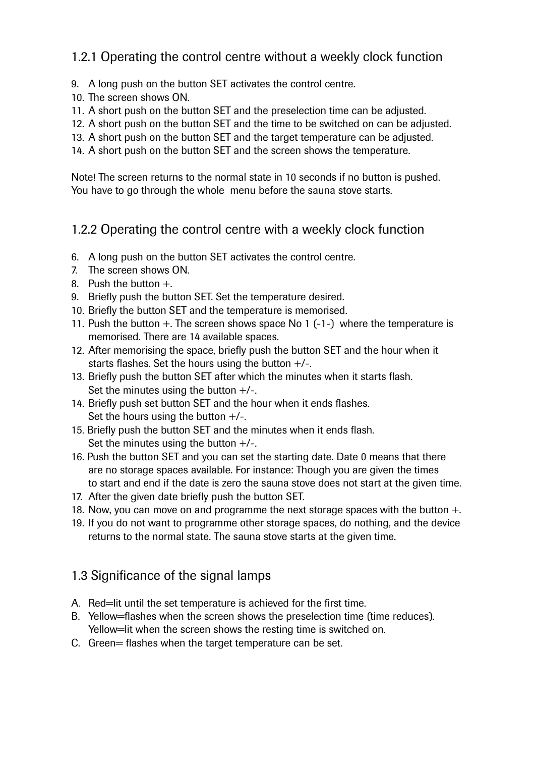## 1.2.1 Operating the control centre without a weekly clock function

- 9. A long push on the button SET activates the control centre.
- 10. The screen shows ON.
- 11. A short push on the button SET and the preselection time can be adjusted.
- 12. A short push on the button SET and the time to be switched on can be adjusted.
- 13. A short push on the button SET and the target temperature can be adjusted.
- 14. A short push on the button SET and the screen shows the temperature.

Note! The screen returns to the normal state in 10 seconds if no button is pushed. You have to go through the whole menu before the sauna stove starts.

### 1.2.2 Operating the control centre with a weekly clock function

- 6. A long push on the button SET activates the control centre.
- 7. The screen shows ON.
- 8. Push the button +.
- 9. Briefly push the button SET. Set the temperature desired.
- 10. Briefly the button SET and the temperature is memorised.
- 11. Push the button +. The screen shows space No 1 (-1-) where the temperature is memorised. There are 14 available spaces.
- 12. After memorising the space, briefly push the button SET and the hour when it starts flashes. Set the hours using the button  $+/-$ .
- 13. Briefly push the button SET after which the minutes when it starts flash. Set the minutes using the button  $+/-$ .
- 14. Briefly push set button SET and the hour when it ends flashes. Set the hours using the button  $+/-$ .
- 15. Briefly push the button SET and the minutes when it ends flash. Set the minutes using the button  $+/-$ .
- 16. Push the button SET and you can set the starting date. Date 0 means that there are no storage spaces available. For instance: Though you are given the times to start and end if the date is zero the sauna stove does not start at the given time.
- 17. After the given date briefly push the button SET.
- 18. Now, you can move on and programme the next storage spaces with the button  $+$ .
- 19. If you do not want to programme other storage spaces, do nothing, and the device returns to the normal state. The sauna stove starts at the given time.

## 1.3 Significance of the signal lamps

- A. Red=lit until the set temperature is achieved for the first time.
- B. Yellow=flashes when the screen shows the preselection time (time reduces). Yellow=lit when the screen shows the resting time is switched on.
- C. Green= flashes when the target temperature can be set.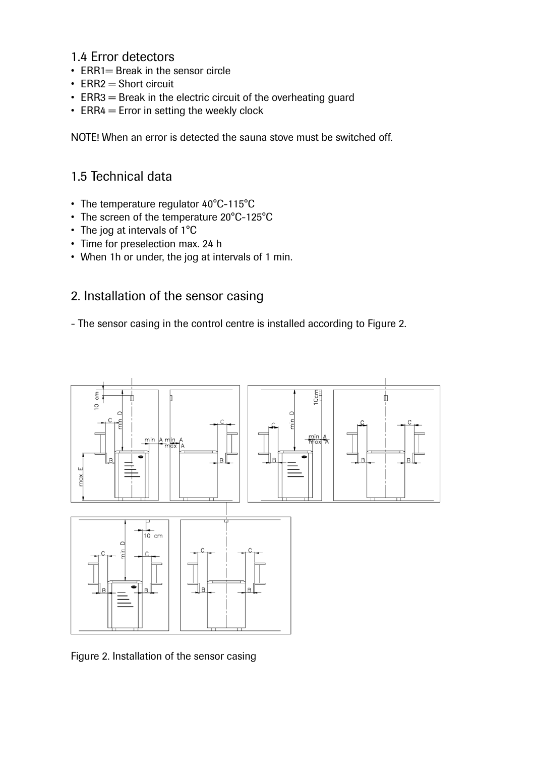### 1.4 Error detectors

- $ERR1 = Break$  in the sensor circle
- $ERR2 = Short circuit$
- ERR3  $=$  Break in the electric circuit of the overheating guard
- ERR4  $=$  Error in setting the weekly clock

NOTE! When an error is detected the sauna stove must be switched off.

## 1.5 Technical data

- The temperature regulator  $40^{\circ}$ C-115 $^{\circ}$ C
- The screen of the temperature 20°C-125°C
- The jog at intervals of 1°C
- Time for preselection max. 24 h
- When 1h or under, the jog at intervals of 1 min.

### 2. Installation of the sensor casing

- The sensor casing in the control centre is installed according to Figure 2.



Figure 2. Installation of the sensor casing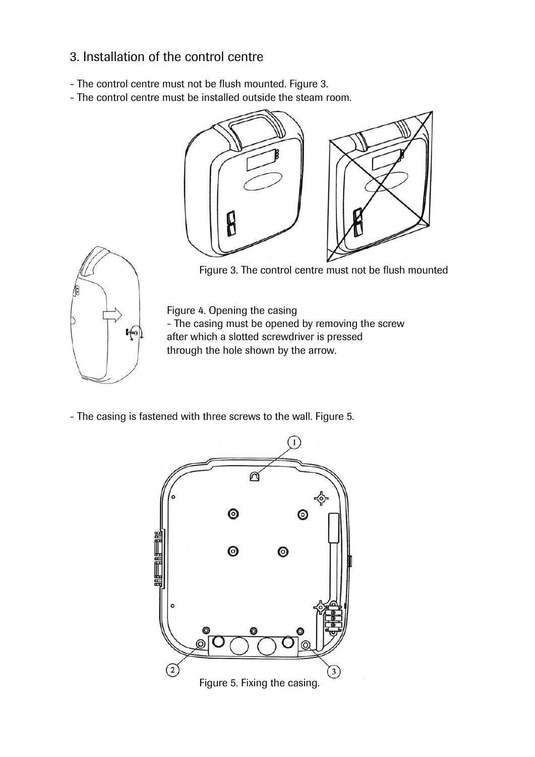## 3. Installation of the control centre

- The control centre must not be flush mounted. Figure 3.
- The control centre must be installed outside the steam room.





Figure 3. The control centre must not be flush mounted

 Figure 4. Opening the casing  $\leftarrow$  The casing must be opened by removing the screw after which a slotted screwdriver is pressed after which a slotted screwdriver is pressed through the hole shown by the arrow.

- The casing is fastened with three screws to the wall. Figure 5.